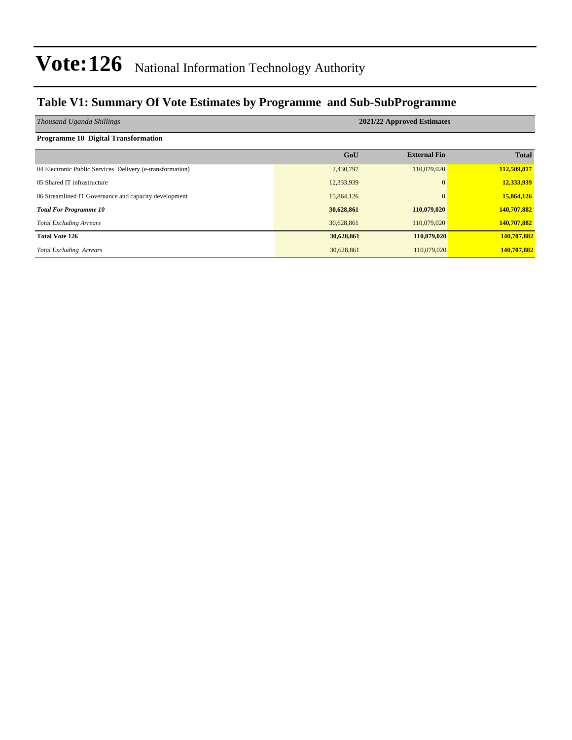#### **Table V1: Summary Of Vote Estimates by Programme and Sub-SubProgramme**

| Thousand Uganda Shillings                                 | 2021/22 Approved Estimates |                     |              |  |  |  |  |  |
|-----------------------------------------------------------|----------------------------|---------------------|--------------|--|--|--|--|--|
| Programme 10 Digital Transformation                       |                            |                     |              |  |  |  |  |  |
|                                                           | GoU                        | <b>External Fin</b> | <b>Total</b> |  |  |  |  |  |
| 04 Electronic Public Services Delivery (e-transformation) | 2,430,797                  | 110,079,020         | 112,509,817  |  |  |  |  |  |
| 05 Shared IT infrastructure                               | 12,333,939                 |                     | 12,333,939   |  |  |  |  |  |
| 06 Streamlined IT Governance and capacity development     | 15,864,126                 |                     | 15,864,126   |  |  |  |  |  |
| <b>Total For Programme 10</b>                             | 30,628,861                 | 110,079,020         | 140,707,882  |  |  |  |  |  |
| <b>Total Excluding Arrears</b>                            | 30,628,861                 | 110,079,020         | 140,707,882  |  |  |  |  |  |
| <b>Total Vote 126</b>                                     | 30,628,861                 | 110,079,020         | 140,707,882  |  |  |  |  |  |
| <b>Total Excluding Arrears</b>                            | 30,628,861                 | 110,079,020         | 140,707,882  |  |  |  |  |  |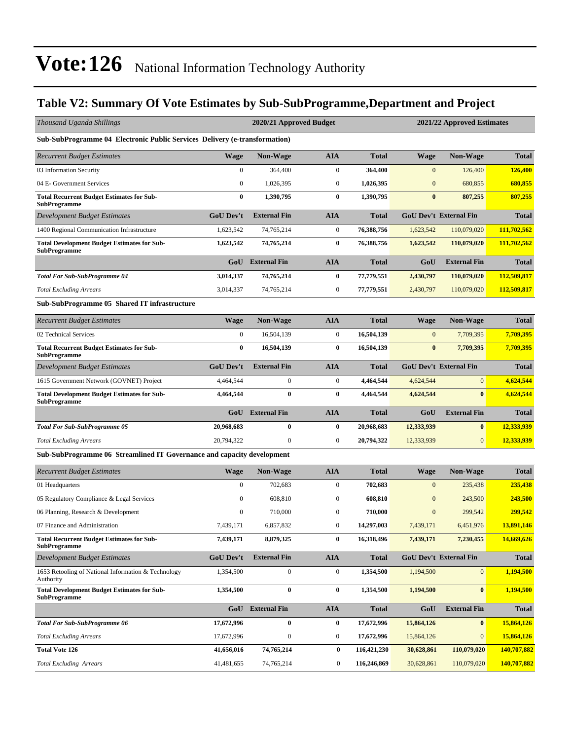### **Table V2: Summary Of Vote Estimates by Sub-SubProgramme,Department and Project**

| Thousand Uganda Shillings                                                  |                  | 2020/21 Approved Budget |                  | 2021/22 Approved Estimates |              |                               |              |
|----------------------------------------------------------------------------|------------------|-------------------------|------------------|----------------------------|--------------|-------------------------------|--------------|
| Sub-SubProgramme 04 Electronic Public Services Delivery (e-transformation) |                  |                         |                  |                            |              |                               |              |
| <b>Recurrent Budget Estimates</b>                                          | <b>Wage</b>      | <b>Non-Wage</b>         | <b>AIA</b>       | <b>Total</b>               | <b>Wage</b>  | <b>Non-Wage</b>               | <b>Total</b> |
| 03 Information Security                                                    | $\boldsymbol{0}$ | 364,400                 | $\boldsymbol{0}$ | 364,400                    | $\mathbf{0}$ | 126,400                       | 126,400      |
| 04 E- Government Services                                                  | $\boldsymbol{0}$ | 1,026,395               | $\boldsymbol{0}$ | 1,026,395                  | $\mathbf{0}$ | 680,855                       | 680,855      |
| <b>Total Recurrent Budget Estimates for Sub-</b><br><b>SubProgramme</b>    | $\bf{0}$         | 1,390,795               | $\bf{0}$         | 1,390,795                  | $\bf{0}$     | 807,255                       | 807,255      |
| Development Budget Estimates                                               | <b>GoU Dev't</b> | <b>External Fin</b>     | <b>AIA</b>       | <b>Total</b>               |              | <b>GoU Dev't External Fin</b> | <b>Total</b> |
| 1400 Regional Communication Infrastructure                                 | 1,623,542        | 74,765,214              | $\boldsymbol{0}$ | 76,388,756                 | 1,623,542    | 110,079,020                   | 111,702,562  |
| <b>Total Development Budget Estimates for Sub-</b><br><b>SubProgramme</b>  | 1,623,542        | 74,765,214              | $\bf{0}$         | 76,388,756                 | 1,623,542    | 110,079,020                   | 111,702,562  |
|                                                                            | GoU              | <b>External Fin</b>     | <b>AIA</b>       | <b>Total</b>               | GoU          | <b>External Fin</b>           | <b>Total</b> |
| <b>Total For Sub-SubProgramme 04</b>                                       | 3,014,337        | 74,765,214              | $\bf{0}$         | 77,779,551                 | 2,430,797    | 110,079,020                   | 112,509,817  |
| <b>Total Excluding Arrears</b>                                             | 3,014,337        | 74,765,214              | $\boldsymbol{0}$ | 77,779,551                 | 2,430,797    | 110,079,020                   | 112,509,817  |
| Sub-SubProgramme 05 Shared IT infrastructure                               |                  |                         |                  |                            |              |                               |              |
| <b>Recurrent Budget Estimates</b>                                          | <b>Wage</b>      | Non-Wage                | <b>AIA</b>       | <b>Total</b>               | Wage         | Non-Wage                      | <b>Total</b> |
| 02 Technical Services                                                      | $\mathbf{0}$     | 16,504,139              | $\boldsymbol{0}$ | 16,504,139                 | $\mathbf{0}$ | 7,709,395                     | 7,709,395    |
| <b>Total Recurrent Budget Estimates for Sub-</b><br><b>SubProgramme</b>    | $\bf{0}$         | 16,504,139              | $\bf{0}$         | 16,504,139                 | $\bf{0}$     | 7,709,395                     | 7,709,395    |
| Development Budget Estimates                                               | <b>GoU Dev't</b> | <b>External Fin</b>     | <b>AIA</b>       | <b>Total</b>               |              | <b>GoU Dev't External Fin</b> | <b>Total</b> |
| 1615 Government Network (GOVNET) Project                                   | 4,464,544        | $\boldsymbol{0}$        | $\boldsymbol{0}$ | 4,464,544                  | 4,624,544    | $\mathbf{0}$                  | 4,624,544    |
| <b>Total Development Budget Estimates for Sub-</b><br><b>SubProgramme</b>  | 4,464,544        | $\bf{0}$                | $\bf{0}$         | 4,464,544                  | 4,624,544    | $\bf{0}$                      | 4,624,544    |
|                                                                            |                  | <b>GoU</b> External Fin | <b>AIA</b>       | <b>Total</b>               | GoU          | <b>External Fin</b>           | <b>Total</b> |
| <b>Total For Sub-SubProgramme 05</b>                                       | 20,968,683       | $\bf{0}$                | $\bf{0}$         | 20,968,683                 | 12,333,939   | $\bf{0}$                      | 12,333,939   |
| <b>Total Excluding Arrears</b>                                             | 20,794,322       | $\boldsymbol{0}$        | $\boldsymbol{0}$ | 20,794,322                 | 12,333,939   | $\mathbf{0}$                  | 12,333,939   |
| Sub-SubProgramme 06 Streamlined IT Governance and capacity development     |                  |                         |                  |                            |              |                               |              |
| <b>Recurrent Budget Estimates</b>                                          | <b>Wage</b>      | Non-Wage                | <b>AIA</b>       | <b>Total</b>               | <b>Wage</b>  | <b>Non-Wage</b>               | <b>Total</b> |
| 01 Headquarters                                                            | $\mathbf{0}$     | 702,683                 | $\boldsymbol{0}$ | 702,683                    | $\mathbf{0}$ | 235,438                       | 235,438      |
| 05 Regulatory Compliance & Legal Services                                  | $\mathbf{0}$     | 608,810                 | $\mathbf{0}$     | 608,810                    | $\mathbf{0}$ | 243,500                       | 243,500      |
| 06 Planning, Research & Development                                        | $\boldsymbol{0}$ | 710,000                 | $\boldsymbol{0}$ | 710,000                    | $\mathbf{0}$ | 299,542                       | 299,542      |
| 07 Finance and Administration                                              | 7,439,171        | 6,857,832               | $\boldsymbol{0}$ | 14,297,003                 | 7,439,171    | 6,451,976                     | 13,891,146   |
| <b>Total Recurrent Budget Estimates for Sub-</b><br><b>SubProgramme</b>    | 7,439,171        | 8,879,325               | $\bf{0}$         | 16,318,496                 | 7,439,171    | 7,230,455                     | 14,669,626   |
| Development Budget Estimates                                               | <b>GoU Dev't</b> | <b>External Fin</b>     | <b>AIA</b>       | <b>Total</b>               |              | <b>GoU Dev't External Fin</b> | <b>Total</b> |
| 1653 Retooling of National Information & Technology<br>Authority           | 1,354,500        | $\boldsymbol{0}$        | $\boldsymbol{0}$ | 1,354,500                  | 1,194,500    | $\mathbf{0}$                  | 1,194,500    |
| <b>Total Development Budget Estimates for Sub-</b><br><b>SubProgramme</b>  | 1,354,500        | $\bf{0}$                | $\bf{0}$         | 1,354,500                  | 1,194,500    | $\bf{0}$                      | 1,194,500    |
|                                                                            |                  | <b>GoU</b> External Fin | <b>AIA</b>       | <b>Total</b>               | GoU          | <b>External Fin</b>           | <b>Total</b> |
| <b>Total For Sub-SubProgramme 06</b>                                       | 17,672,996       | $\bf{0}$                | $\bf{0}$         | 17,672,996                 | 15,864,126   | $\boldsymbol{0}$              | 15,864,126   |
| <b>Total Excluding Arrears</b>                                             | 17,672,996       | $\boldsymbol{0}$        | $\boldsymbol{0}$ | 17,672,996                 | 15,864,126   | $\mathbf{0}$                  | 15,864,126   |
| <b>Total Vote 126</b>                                                      | 41,656,016       | 74,765,214              | 0                | 116,421,230                | 30,628,861   | 110,079,020                   | 140,707,882  |
| <b>Total Excluding Arrears</b>                                             | 41,481,655       | 74,765,214              | $\boldsymbol{0}$ | 116,246,869                | 30,628,861   | 110,079,020                   | 140,707,882  |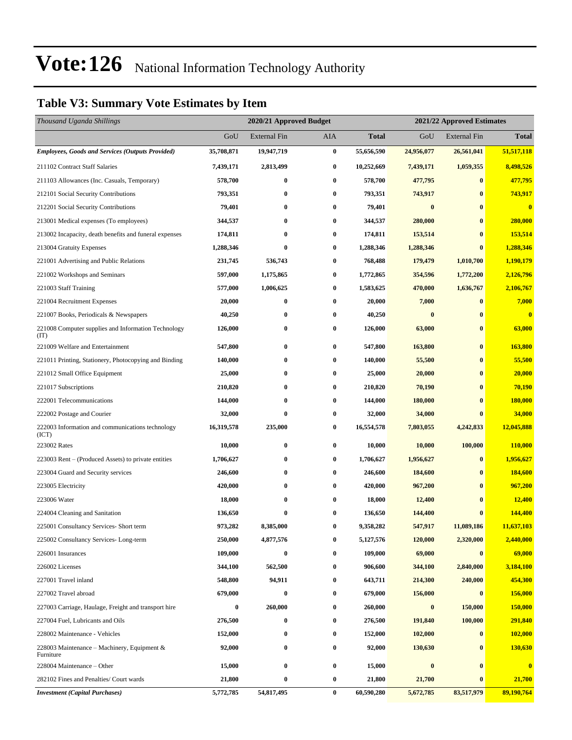### **Table V3: Summary Vote Estimates by Item**

| Thousand Uganda Shillings                                   |            | 2020/21 Approved Budget<br>2021/22 Approved Estimates |                  |              |            |              |                |
|-------------------------------------------------------------|------------|-------------------------------------------------------|------------------|--------------|------------|--------------|----------------|
|                                                             | GoU        | External Fin                                          | AIA              | <b>Total</b> | GoU        | External Fin | <b>Total</b>   |
| <b>Employees, Goods and Services (Outputs Provided)</b>     | 35,708,871 | 19,947,719                                            | $\pmb{0}$        | 55,656,590   | 24,956,077 | 26,561,041   | 51,517,118     |
| 211102 Contract Staff Salaries                              | 7,439,171  | 2,813,499                                             | $\bf{0}$         | 10,252,669   | 7,439,171  | 1,059,355    | 8,498,526      |
| 211103 Allowances (Inc. Casuals, Temporary)                 | 578,700    | $\bf{0}$                                              | $\boldsymbol{0}$ | 578,700      | 477,795    | $\bf{0}$     | 477,795        |
| 212101 Social Security Contributions                        | 793,351    | 0                                                     | $\bf{0}$         | 793,351      | 743,917    | $\bf{0}$     | 743,917        |
| 212201 Social Security Contributions                        | 79,401     | $\bf{0}$                                              | $\bf{0}$         | 79,401       | $\bf{0}$   | $\bf{0}$     | $\bf{0}$       |
| 213001 Medical expenses (To employees)                      | 344,537    | 0                                                     | $\bf{0}$         | 344,537      | 280,000    | $\bf{0}$     | 280,000        |
| 213002 Incapacity, death benefits and funeral expenses      | 174,811    | 0                                                     | $\bf{0}$         | 174,811      | 153,514    | $\bf{0}$     | 153,514        |
| 213004 Gratuity Expenses                                    | 1,288,346  | $\bf{0}$                                              | $\bf{0}$         | 1,288,346    | 1,288,346  | $\bf{0}$     | 1,288,346      |
| 221001 Advertising and Public Relations                     | 231,745    | 536,743                                               | $\bf{0}$         | 768,488      | 179,479    | 1,010,700    | 1,190,179      |
| 221002 Workshops and Seminars                               | 597,000    | 1,175,865                                             | 0                | 1,772,865    | 354,596    | 1,772,200    | 2,126,796      |
| 221003 Staff Training                                       | 577,000    | 1,006,625                                             | $\bf{0}$         | 1,583,625    | 470,000    | 1,636,767    | 2,106,767      |
| 221004 Recruitment Expenses                                 | 20,000     | 0                                                     | $\bf{0}$         | 20,000       | 7,000      | $\bf{0}$     | 7,000          |
| 221007 Books, Periodicals & Newspapers                      | 40,250     | 0                                                     | $\bf{0}$         | 40,250       | $\bf{0}$   | $\bf{0}$     | $\bf{0}$       |
| 221008 Computer supplies and Information Technology<br>(TT) | 126,000    | 0                                                     | $\bf{0}$         | 126,000      | 63,000     | $\bf{0}$     | 63,000         |
| 221009 Welfare and Entertainment                            | 547,800    | $\bf{0}$                                              | $\bf{0}$         | 547,800      | 163,800    | $\bf{0}$     | 163,800        |
| 221011 Printing, Stationery, Photocopying and Binding       | 140,000    | 0                                                     | $\boldsymbol{0}$ | 140,000      | 55,500     | $\bf{0}$     | 55,500         |
| 221012 Small Office Equipment                               | 25,000     | $\bf{0}$                                              | $\bf{0}$         | 25,000       | 20,000     | $\bf{0}$     | 20,000         |
| 221017 Subscriptions                                        | 210,820    | $\bf{0}$                                              | $\bf{0}$         | 210,820      | 70,190     | $\bf{0}$     | 70,190         |
| 222001 Telecommunications                                   | 144,000    | $\bf{0}$                                              | $\bf{0}$         | 144,000      | 180,000    | $\bf{0}$     | 180,000        |
| 222002 Postage and Courier                                  | 32,000     | $\bf{0}$                                              | 0                | 32,000       | 34,000     | $\bf{0}$     | 34,000         |
| 222003 Information and communications technology<br>(ICT)   | 16,319,578 | 235,000                                               | $\bf{0}$         | 16,554,578   | 7,803,055  | 4,242,833    | 12,045,888     |
| 223002 Rates                                                | 10,000     | $\bf{0}$                                              | $\bf{0}$         | 10,000       | 10,000     | 100,000      | 110,000        |
| 223003 Rent – (Produced Assets) to private entities         | 1,706,627  | $\bf{0}$                                              | $\bf{0}$         | 1,706,627    | 1,956,627  | $\bf{0}$     | 1,956,627      |
| 223004 Guard and Security services                          | 246,600    | 0                                                     | $\bf{0}$         | 246,600      | 184,600    | $\bf{0}$     | <b>184,600</b> |
| 223005 Electricity                                          | 420,000    | $\bf{0}$                                              | $\bf{0}$         | 420,000      | 967,200    | $\bf{0}$     | 967,200        |
| 223006 Water                                                | 18,000     | $\bf{0}$                                              | $\bf{0}$         | 18,000       | 12,400     | $\bf{0}$     | <b>12,400</b>  |
| 224004 Cleaning and Sanitation                              | 136,650    | $\bf{0}$                                              | $\bf{0}$         | 136,650      | 144,400    | $\bf{0}$     | 144,400        |
| 225001 Consultancy Services- Short term                     | 973,282    | 8,385,000                                             | 0                | 9,358,282    | 547,917    | 11,089,186   | 11,637,103     |
| 225002 Consultancy Services-Long-term                       | 250,000    | 4,877,576                                             | $\bf{0}$         | 5,127,576    | 120,000    | 2,320,000    | 2,440,000      |
| 226001 Insurances                                           | 109,000    | $\bf{0}$                                              | $\bf{0}$         | 109,000      | 69,000     | $\bf{0}$     | 69,000         |
| 226002 Licenses                                             | 344,100    | 562,500                                               | $\boldsymbol{0}$ | 906,600      | 344,100    | 2,840,000    | 3,184,100      |
| 227001 Travel inland                                        | 548,800    | 94,911                                                | $\bf{0}$         | 643,711      | 214,300    | 240,000      | 454,300        |
| 227002 Travel abroad                                        | 679,000    | $\bf{0}$                                              | $\bf{0}$         | 679,000      | 156,000    | $\bf{0}$     | 156,000        |
| 227003 Carriage, Haulage, Freight and transport hire        | $\bf{0}$   | 260,000                                               | $\boldsymbol{0}$ | 260,000      | $\bf{0}$   | 150,000      | 150,000        |
| 227004 Fuel, Lubricants and Oils                            | 276,500    | 0                                                     | $\bf{0}$         | 276,500      | 191,840    | 100,000      | 291,840        |
| 228002 Maintenance - Vehicles                               | 152,000    | $\bf{0}$                                              | $\bf{0}$         | 152,000      | 102,000    | $\bf{0}$     | <b>102,000</b> |
| 228003 Maintenance – Machinery, Equipment $\&$<br>Furniture | 92,000     | $\bf{0}$                                              | $\bf{0}$         | 92,000       | 130,630    | $\bf{0}$     | 130,630        |
| 228004 Maintenance – Other                                  | 15,000     | $\bf{0}$                                              | $\bf{0}$         | 15,000       | $\bf{0}$   | $\bf{0}$     | $\bf{0}$       |
| 282102 Fines and Penalties/ Court wards                     | 21,800     | $\bf{0}$                                              | $\bf{0}$         | 21,800       | 21,700     | $\bf{0}$     | 21,700         |
| <b>Investment</b> (Capital Purchases)                       | 5,772,785  | 54,817,495                                            | $\bf{0}$         | 60,590,280   | 5,672,785  | 83,517,979   | 89,190,764     |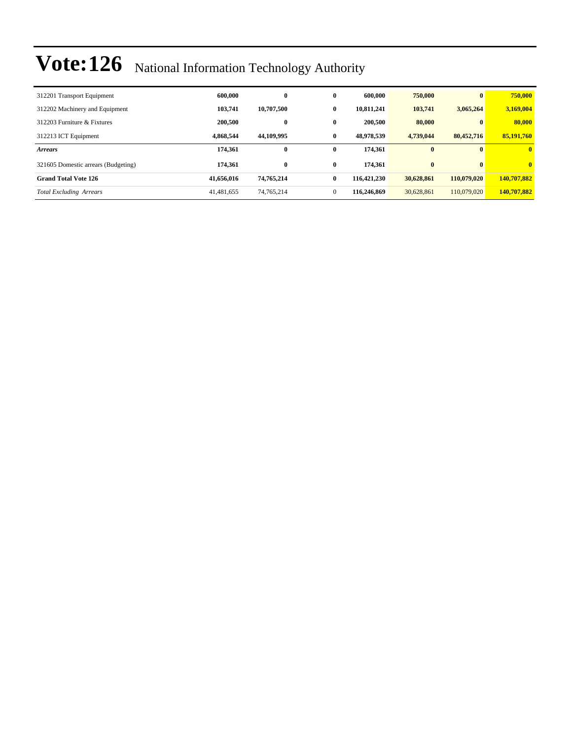| 312201 Transport Equipment          | 600,000    | $\bf{0}$   | $\mathbf{0}$ | 600,000     | 750,000    | $\mathbf{0}$ | 750,000      |
|-------------------------------------|------------|------------|--------------|-------------|------------|--------------|--------------|
| 312202 Machinery and Equipment      | 103,741    | 10,707,500 | 0            | 10.811.241  | 103,741    | 3,065,264    | 3,169,004    |
| 312203 Furniture & Fixtures         | 200,500    | $\bf{0}$   | $\mathbf{0}$ | 200,500     | 80,000     | $\mathbf{u}$ | 80,000       |
| 312213 ICT Equipment                | 4,868,544  | 44.109.995 | $\mathbf{0}$ | 48,978,539  | 4.739.044  | 80,452,716   | 85,191,760   |
| <b>Arrears</b>                      | 174,361    | $\bf{0}$   | $\bf{0}$     | 174,361     | $\bf{0}$   |              | $\mathbf{0}$ |
| 321605 Domestic arrears (Budgeting) | 174.361    | $\bf{0}$   | $\bf{0}$     | 174.361     | $\bf{0}$   | $\mathbf{0}$ | $\mathbf{0}$ |
| <b>Grand Total Vote 126</b>         | 41,656,016 | 74,765,214 | $\bf{0}$     | 116,421,230 | 30,628,861 | 110,079,020  | 140,707,882  |
| <b>Total Excluding Arrears</b>      | 41,481,655 | 74,765,214 | $\Omega$     | 116,246,869 | 30.628,861 | 110,079,020  | 140,707,882  |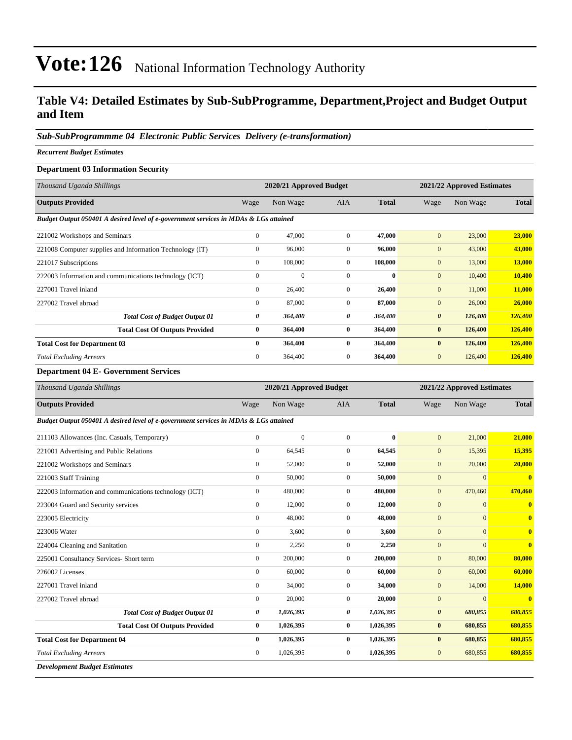#### **Table V4: Detailed Estimates by Sub-SubProgramme, Department,Project and Budget Output and Item**

#### *Sub-SubProgrammme 04 Electronic Public Services Delivery (e-transformation)*

#### *Recurrent Budget Estimates*

#### **Department 03 Information Security**

| Thousand Uganda Shillings                                                            |              | 2020/21 Approved Budget |                |              | 2021/22 Approved Estimates |          |              |
|--------------------------------------------------------------------------------------|--------------|-------------------------|----------------|--------------|----------------------------|----------|--------------|
| <b>Outputs Provided</b>                                                              | Wage         | Non Wage                | <b>AIA</b>     | <b>Total</b> | Wage                       | Non Wage | <b>Total</b> |
| Budget Output 050401 A desired level of e-government services in MDAs & LGs attained |              |                         |                |              |                            |          |              |
| 221002 Workshops and Seminars                                                        | $\mathbf{0}$ | 47,000                  | $\Omega$       | 47,000       | $\mathbf{0}$               | 23,000   | 23,000       |
| 221008 Computer supplies and Information Technology (IT)                             | $\mathbf{0}$ | 96,000                  | $\mathbf{0}$   | 96,000       | $\mathbf{0}$               | 43,000   | 43,000       |
| 221017 Subscriptions                                                                 | $\mathbf{0}$ | 108,000                 | $\mathbf{0}$   | 108,000      | $\mathbf{0}$               | 13,000   | 13,000       |
| 222003 Information and communications technology (ICT)                               | $\mathbf{0}$ | $\Omega$                | $\Omega$       | 0            | $\mathbf{0}$               | 10,400   | 10,400       |
| 227001 Travel inland                                                                 | $\mathbf{0}$ | 26,400                  | $\mathbf{0}$   | 26,400       | $\mathbf{0}$               | 11,000   | 11,000       |
| 227002 Travel abroad                                                                 | $\mathbf{0}$ | 87,000                  | $\mathbf{0}$   | 87,000       | $\mathbf{0}$               | 26,000   | 26,000       |
| <b>Total Cost of Budget Output 01</b>                                                | 0            | 364,400                 | 0              | 364,400      | $\boldsymbol{\theta}$      | 126,400  | 126,400      |
| <b>Total Cost Of Outputs Provided</b>                                                | $\bf{0}$     | 364,400                 | $\bf{0}$       | 364,400      | $\bf{0}$                   | 126,400  | 126,400      |
| <b>Total Cost for Department 03</b>                                                  | $\bf{0}$     | 364,400                 | $\bf{0}$       | 364,400      | $\bf{0}$                   | 126,400  | 126,400      |
| <b>Total Excluding Arrears</b>                                                       | $\mathbf{0}$ | 364,400                 | $\overline{0}$ | 364,400      | $\mathbf{0}$               | 126,400  | 126,400      |
|                                                                                      |              |                         |                |              |                            |          |              |

#### **Department 04 E- Government Services**

| Thousand Uganda Shillings                                                            |                | 2020/21 Approved Budget |                |              |                       | 2021/22 Approved Estimates |              |  |
|--------------------------------------------------------------------------------------|----------------|-------------------------|----------------|--------------|-----------------------|----------------------------|--------------|--|
| <b>Outputs Provided</b>                                                              | Wage           | Non Wage                | <b>AIA</b>     | <b>Total</b> | Wage                  | Non Wage                   | <b>Total</b> |  |
| Budget Output 050401 A desired level of e-government services in MDAs & LGs attained |                |                         |                |              |                       |                            |              |  |
| 211103 Allowances (Inc. Casuals, Temporary)                                          | $\overline{0}$ | $\mathbf{0}$            | $\overline{0}$ | $\bf{0}$     | $\mathbf{0}$          | 21,000                     | 21,000       |  |
| 221001 Advertising and Public Relations                                              | $\overline{0}$ | 64,545                  | $\mathbf{0}$   | 64,545       | $\mathbf{0}$          | 15,395                     | 15,395       |  |
| 221002 Workshops and Seminars                                                        | $\mathbf{0}$   | 52,000                  | $\overline{0}$ | 52,000       | $\mathbf{0}$          | 20,000                     | 20,000       |  |
| 221003 Staff Training                                                                | $\overline{0}$ | 50,000                  | $\overline{0}$ | 50,000       | $\overline{0}$        | $\mathbf{0}$               | $\mathbf{0}$ |  |
| 222003 Information and communications technology (ICT)                               | $\mathbf{0}$   | 480,000                 | $\overline{0}$ | 480,000      | $\mathbf{0}$          | 470,460                    | 470,460      |  |
| 223004 Guard and Security services                                                   | $\mathbf{0}$   | 12,000                  | $\overline{0}$ | 12,000       | $\mathbf{0}$          | $\mathbf{0}$               | $\bf{0}$     |  |
| 223005 Electricity                                                                   | $\mathbf{0}$   | 48,000                  | $\overline{0}$ | 48,000       | $\mathbf{0}$          | $\Omega$                   | $\mathbf{0}$ |  |
| 223006 Water                                                                         | $\mathbf{0}$   | 3,600                   | $\overline{0}$ | 3,600        | $\mathbf{0}$          | $\mathbf{0}$               | $\bf{0}$     |  |
| 224004 Cleaning and Sanitation                                                       | $\overline{0}$ | 2,250                   | $\overline{0}$ | 2,250        | $\mathbf{0}$          | $\mathbf{0}$               | $\bf{0}$     |  |
| 225001 Consultancy Services- Short term                                              | $\mathbf{0}$   | 200,000                 | $\overline{0}$ | 200,000      | $\boldsymbol{0}$      | 80,000                     | 80,000       |  |
| 226002 Licenses                                                                      | $\overline{0}$ | 60,000                  | $\overline{0}$ | 60,000       | $\overline{0}$        | 60,000                     | 60,000       |  |
| 227001 Travel inland                                                                 | $\mathbf{0}$   | 34,000                  | $\overline{0}$ | 34,000       | $\mathbf{0}$          | 14,000                     | 14,000       |  |
| 227002 Travel abroad                                                                 | $\mathbf{0}$   | 20,000                  | $\overline{0}$ | 20,000       | $\mathbf{0}$          | $\mathbf{0}$               | $\bf{0}$     |  |
| <b>Total Cost of Budget Output 01</b>                                                | 0              | 1,026,395               | 0              | 1,026,395    | $\boldsymbol{\theta}$ | 680,855                    | 680,855      |  |
| <b>Total Cost Of Outputs Provided</b>                                                | $\bf{0}$       | 1,026,395               | $\bf{0}$       | 1,026,395    | $\bf{0}$              | 680,855                    | 680,855      |  |
| <b>Total Cost for Department 04</b>                                                  | $\bf{0}$       | 1,026,395               | $\bf{0}$       | 1,026,395    | $\bf{0}$              | 680,855                    | 680,855      |  |
| <b>Total Excluding Arrears</b>                                                       | $\mathbf{0}$   | 1,026,395               | $\mathbf{0}$   | 1,026,395    | $\mathbf{0}$          | 680,855                    | 680,855      |  |
| <b>Development Budget Estimates</b>                                                  |                |                         |                |              |                       |                            |              |  |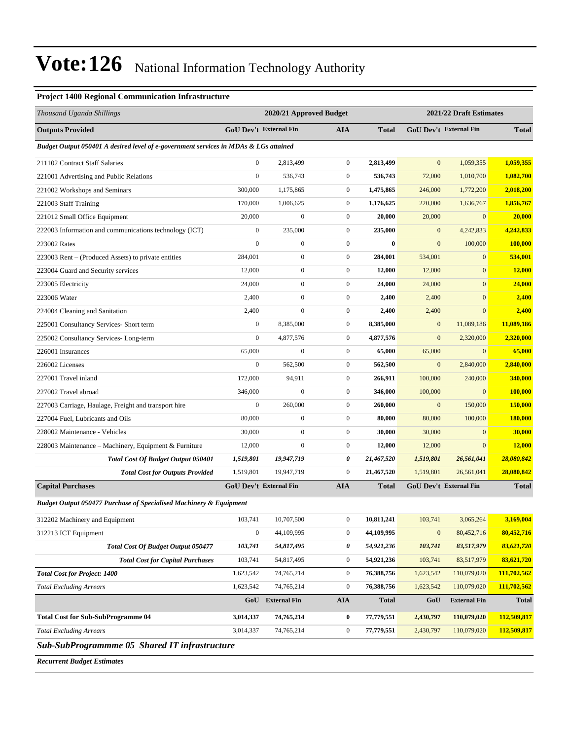#### **Project 1400 Regional Communication Infrastructure**

| Thousand Uganda Shillings                                                            |                  | 2020/21 Approved Budget       |                  |              |                  | 2021/22 Draft Estimates       |              |
|--------------------------------------------------------------------------------------|------------------|-------------------------------|------------------|--------------|------------------|-------------------------------|--------------|
| <b>Outputs Provided</b>                                                              |                  | GoU Dev't External Fin        | <b>AIA</b>       | <b>Total</b> |                  | GoU Dev't External Fin        | <b>Total</b> |
| Budget Output 050401 A desired level of e-government services in MDAs & LGs attained |                  |                               |                  |              |                  |                               |              |
| 211102 Contract Staff Salaries                                                       | $\mathbf{0}$     | 2,813,499                     | $\mathbf{0}$     | 2,813,499    | $\mathbf{0}$     | 1,059,355                     | 1,059,355    |
| 221001 Advertising and Public Relations                                              | $\boldsymbol{0}$ | 536,743                       | $\boldsymbol{0}$ | 536,743      | 72,000           | 1,010,700                     | 1,082,700    |
| 221002 Workshops and Seminars                                                        | 300,000          | 1,175,865                     | $\boldsymbol{0}$ | 1,475,865    | 246,000          | 1,772,200                     | 2,018,200    |
| 221003 Staff Training                                                                | 170,000          | 1,006,625                     | $\boldsymbol{0}$ | 1,176,625    | 220,000          | 1,636,767                     | 1,856,767    |
| 221012 Small Office Equipment                                                        | 20,000           | $\boldsymbol{0}$              | $\boldsymbol{0}$ | 20,000       | 20,000           | $\mathbf{0}$                  | 20,000       |
| 222003 Information and communications technology (ICT)                               | $\boldsymbol{0}$ | 235,000                       | $\boldsymbol{0}$ | 235,000      | $\mathbf{0}$     | 4,242,833                     | 4,242,833    |
| 223002 Rates                                                                         | $\mathbf{0}$     | $\mathbf{0}$                  | $\boldsymbol{0}$ | $\bf{0}$     | $\mathbf{0}$     | 100,000                       | 100,000      |
| 223003 Rent – (Produced Assets) to private entities                                  | 284,001          | $\boldsymbol{0}$              | $\boldsymbol{0}$ | 284,001      | 534,001          | $\boldsymbol{0}$              | 534,001      |
| 223004 Guard and Security services                                                   | 12,000           | $\mathbf{0}$                  | $\boldsymbol{0}$ | 12,000       | 12,000           | $\mathbf{0}$                  | 12,000       |
| 223005 Electricity                                                                   | 24,000           | $\boldsymbol{0}$              | $\boldsymbol{0}$ | 24,000       | 24,000           | $\mathbf{0}$                  | 24,000       |
| 223006 Water                                                                         | 2,400            | $\mathbf{0}$                  | $\boldsymbol{0}$ | 2,400        | 2,400            | $\mathbf{0}$                  | 2,400        |
| 224004 Cleaning and Sanitation                                                       | 2,400            | $\mathbf{0}$                  | $\boldsymbol{0}$ | 2,400        | 2,400            | $\mathbf{0}$                  | 2,400        |
| 225001 Consultancy Services- Short term                                              | $\boldsymbol{0}$ | 8,385,000                     | $\boldsymbol{0}$ | 8,385,000    | $\bf{0}$         | 11,089,186                    | 11,089,186   |
| 225002 Consultancy Services-Long-term                                                | $\boldsymbol{0}$ | 4,877,576                     | $\boldsymbol{0}$ | 4,877,576    | $\mathbf{0}$     | 2,320,000                     | 2,320,000    |
| 226001 Insurances                                                                    | 65,000           | $\mathbf{0}$                  | $\boldsymbol{0}$ | 65,000       | 65,000           | $\mathbf{0}$                  | 65,000       |
| 226002 Licenses                                                                      | $\mathbf{0}$     | 562,500                       | $\boldsymbol{0}$ | 562,500      | $\mathbf{0}$     | 2,840,000                     | 2,840,000    |
| 227001 Travel inland                                                                 | 172,000          | 94,911                        | $\boldsymbol{0}$ | 266,911      | 100,000          | 240,000                       | 340,000      |
| 227002 Travel abroad                                                                 | 346,000          | $\boldsymbol{0}$              | $\boldsymbol{0}$ | 346,000      | 100,000          | $\mathbf{0}$                  | 100,000      |
| 227003 Carriage, Haulage, Freight and transport hire                                 | $\boldsymbol{0}$ | 260,000                       | $\boldsymbol{0}$ | 260,000      | $\boldsymbol{0}$ | 150,000                       | 150,000      |
| 227004 Fuel, Lubricants and Oils                                                     | 80,000           | $\boldsymbol{0}$              | $\boldsymbol{0}$ | 80,000       | 80,000           | 100,000                       | 180,000      |
| 228002 Maintenance - Vehicles                                                        | 30,000           | $\mathbf{0}$                  | $\boldsymbol{0}$ | 30,000       | 30,000           | $\mathbf{0}$                  | 30,000       |
| 228003 Maintenance – Machinery, Equipment & Furniture                                | 12,000           | $\mathbf{0}$                  | $\boldsymbol{0}$ | 12,000       | 12,000           | $\mathbf{0}$                  | 12,000       |
| <b>Total Cost Of Budget Output 050401</b>                                            | 1,519,801        | 19,947,719                    | 0                | 21,467,520   | 1,519,801        | 26,561,041                    | 28,080,842   |
| <b>Total Cost for Outputs Provided</b>                                               | 1,519,801        | 19,947,719                    | $\boldsymbol{0}$ | 21,467,520   | 1,519,801        | 26,561,041                    | 28,080,842   |
| <b>Capital Purchases</b>                                                             |                  | <b>GoU Dev't External Fin</b> | <b>AIA</b>       | <b>Total</b> |                  | <b>GoU Dev't External Fin</b> | <b>Total</b> |
| <b>Budget Output 050477 Purchase of Specialised Machinery &amp; Equipment</b>        |                  |                               |                  |              |                  |                               |              |
| 312202 Machinery and Equipment                                                       | 103,741          | 10,707,500                    | $\boldsymbol{0}$ | 10,811,241   | 103,741          | 3,065,264                     | 3,169,004    |
| 312213 ICT Equipment                                                                 | $\boldsymbol{0}$ | 44,109,995                    | $\mathbf{0}$     | 44,109,995   | $\bf{0}$         | 80,452,716                    | 80,452,716   |
| Total Cost Of Budget Output 050477                                                   | 103,741          | 54,817,495                    | 0                | 54,921,236   | 103,741          | 83,517,979                    | 83,621,720   |
| <b>Total Cost for Capital Purchases</b>                                              | 103,741          | 54,817,495                    | $\boldsymbol{0}$ | 54,921,236   | 103,741          | 83,517,979                    | 83,621,720   |
| <b>Total Cost for Project: 1400</b>                                                  | 1,623,542        | 74,765,214                    | $\overline{0}$   | 76,388,756   | 1,623,542        | 110,079,020                   | 111,702,562  |
| <b>Total Excluding Arrears</b>                                                       | 1,623,542        | 74,765,214                    | $\boldsymbol{0}$ | 76,388,756   | 1,623,542        | 110,079,020                   | 111,702,562  |
|                                                                                      | GoU              | <b>External Fin</b>           | AIA              | <b>Total</b> | GoU              | <b>External Fin</b>           | <b>Total</b> |
| <b>Total Cost for Sub-SubProgramme 04</b>                                            | 3,014,337        | 74,765,214                    | $\bf{0}$         | 77,779,551   | 2,430,797        | 110,079,020                   | 112,509,817  |
| <b>Total Excluding Arrears</b>                                                       | 3,014,337        | 74,765,214                    | $\boldsymbol{0}$ | 77,779,551   | 2,430,797        | 110,079,020                   | 112,509,817  |
| Sub-SubProgrammme 05 Shared IT infrastructure                                        |                  |                               |                  |              |                  |                               |              |
| <b>Recurrent Budget Estimates</b>                                                    |                  |                               |                  |              |                  |                               |              |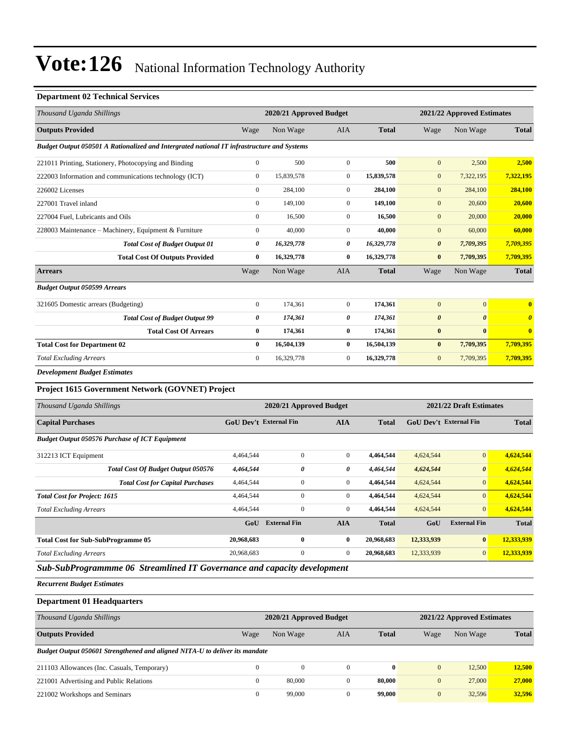#### **Department 02 Technical Services**

| Thousand Uganda Shillings                                                                  |                               | 2020/21 Approved Budget |                  |              |                               | 2021/22 Approved Estimates |                       |
|--------------------------------------------------------------------------------------------|-------------------------------|-------------------------|------------------|--------------|-------------------------------|----------------------------|-----------------------|
| <b>Outputs Provided</b>                                                                    | Wage                          | Non Wage                | <b>AIA</b>       | <b>Total</b> | Wage                          | Non Wage                   | <b>Total</b>          |
| Budget Output 050501 A Rationalized and Intergrated national IT infrastructure and Systems |                               |                         |                  |              |                               |                            |                       |
| 221011 Printing, Stationery, Photocopying and Binding                                      | $\boldsymbol{0}$              | 500                     | $\boldsymbol{0}$ | 500          | $\overline{0}$                | 2,500                      | 2,500                 |
| 222003 Information and communications technology (ICT)                                     | $\mathbf{0}$                  | 15,839,578              | $\boldsymbol{0}$ | 15,839,578   | $\mathbf{0}$                  | 7,322,195                  | 7,322,195             |
| 226002 Licenses                                                                            | $\boldsymbol{0}$              | 284,100                 | $\boldsymbol{0}$ | 284,100      | $\mathbf{0}$                  | 284,100                    | 284,100               |
| 227001 Travel inland                                                                       | $\boldsymbol{0}$              | 149,100                 | $\mathbf{0}$     | 149,100      | $\overline{0}$                | 20,600                     | 20,600                |
| 227004 Fuel, Lubricants and Oils                                                           | $\boldsymbol{0}$              | 16,500                  | $\boldsymbol{0}$ | 16,500       | $\mathbf{0}$                  | 20,000                     | 20,000                |
| 228003 Maintenance – Machinery, Equipment & Furniture                                      | $\boldsymbol{0}$              | 40,000                  | $\boldsymbol{0}$ | 40,000       | $\overline{0}$                | 60,000                     | 60,000                |
| <b>Total Cost of Budget Output 01</b>                                                      | 0                             | 16,329,778              | $\pmb{\theta}$   | 16,329,778   | $\boldsymbol{\theta}$         | 7,709,395                  | 7,709,395             |
| <b>Total Cost Of Outputs Provided</b>                                                      | $\bf{0}$                      | 16,329,778              | $\bf{0}$         | 16,329,778   | $\bf{0}$                      | 7,709,395                  | 7,709,395             |
| <b>Arrears</b>                                                                             | Wage                          | Non Wage                | AIA              | <b>Total</b> | Wage                          | Non Wage                   | <b>Total</b>          |
| <b>Budget Output 050599 Arrears</b>                                                        |                               |                         |                  |              |                               |                            |                       |
| 321605 Domestic arrears (Budgeting)                                                        | $\boldsymbol{0}$              | 174,361                 | $\mathbf{0}$     | 174,361      | $\mathbf{0}$                  | $\mathbf{0}$               | $\bf{0}$              |
| <b>Total Cost of Budget Output 99</b>                                                      | $\pmb{\theta}$                | 174,361                 | $\pmb{\theta}$   | 174,361      | $\boldsymbol{\theta}$         | $\boldsymbol{\theta}$      | $\boldsymbol{\theta}$ |
| <b>Total Cost Of Arrears</b>                                                               | $\bf{0}$                      | 174,361                 | $\bf{0}$         | 174,361      | $\bf{0}$                      | $\bf{0}$                   | $\bf{0}$              |
| <b>Total Cost for Department 02</b>                                                        | $\bf{0}$                      | 16,504,139              | $\bf{0}$         | 16,504,139   | $\bf{0}$                      | 7,709,395                  | 7,709,395             |
| <b>Total Excluding Arrears</b>                                                             | $\boldsymbol{0}$              | 16,329,778              | $\mathbf{0}$     | 16,329,778   | $\overline{0}$                | 7,709,395                  | 7,709,395             |
| <b>Development Budget Estimates</b>                                                        |                               |                         |                  |              |                               |                            |                       |
| Project 1615 Government Network (GOVNET) Project                                           |                               |                         |                  |              |                               |                            |                       |
| Thousand Uganda Shillings                                                                  |                               | 2020/21 Approved Budget |                  |              |                               | 2021/22 Draft Estimates    |                       |
| <b>Capital Purchases</b>                                                                   | <b>GoU Dev't External Fin</b> |                         | <b>AIA</b>       | <b>Total</b> | <b>GoU Dev't External Fin</b> |                            | <b>Total</b>          |
| <b>Budget Output 050576 Purchase of ICT Equipment</b>                                      |                               |                         |                  |              |                               |                            |                       |
| 312213 ICT Equipment                                                                       | 4,464,544                     | $\mathbf{0}$            | $\mathbf{0}$     | 4,464,544    | 4,624,544                     | $\boldsymbol{0}$           | 4,624,544             |
| Total Cost Of Budget Output 050576                                                         | 4,464,544                     | $\pmb{\theta}$          | 0                | 4,464,544    | 4,624,544                     | $\pmb{\theta}$             | 4,624,544             |
| <b>Total Cost for Capital Purchases</b>                                                    | 4,464,544                     | $\mathbf{0}$            | $\boldsymbol{0}$ | 4,464,544    | 4,624,544                     | $\overline{0}$             | 4,624,544             |
| <b>Total Cost for Project: 1615</b>                                                        | 4,464,544                     | $\boldsymbol{0}$        | $\boldsymbol{0}$ | 4,464,544    | 4,624,544                     | $\overline{0}$             | 4,624,544             |
| <b>Total Excluding Arrears</b>                                                             | 4,464,544                     | $\mathbf{0}$            | $\mathbf{0}$     | 4,464,544    | 4,624,544                     | $\overline{0}$             | 4,624,544             |
|                                                                                            | GoU                           | <b>External Fin</b>     | <b>AIA</b>       | <b>Total</b> | GoU                           | <b>External Fin</b>        | <b>Total</b>          |
| <b>Total Cost for Sub-SubProgramme 05</b>                                                  | 20,968,683                    | $\bf{0}$                | $\bf{0}$         | 20,968,683   | 12,333,939                    | $\bf{0}$                   | 12,333,939            |

*Total Excluding Arrears* 20,968,683 0 0 **20,968,683** 12,333,939 0 **12,333,939**

*Sub-SubProgrammme 06 Streamlined IT Governance and capacity development*

*Recurrent Budget Estimates*

**Department 01 Headquarters**

| Thousand Uganda Shillings                                                   | 2020/21 Approved Budget |              |          |              |              | 2021/22 Approved Estimates |              |  |
|-----------------------------------------------------------------------------|-------------------------|--------------|----------|--------------|--------------|----------------------------|--------------|--|
|                                                                             |                         |              |          |              |              |                            |              |  |
| <b>Outputs Provided</b>                                                     | Wage                    | Non Wage     | AIA      | <b>Total</b> | Wage         | Non Wage                   | <b>Total</b> |  |
| Budget Output 050601 Strengthened and aligned NITA-U to deliver its mandate |                         |              |          |              |              |                            |              |  |
| 211103 Allowances (Inc. Casuals, Temporary)                                 | $\Omega$                | $\mathbf{0}$ | $\Omega$ | $\mathbf{0}$ | $\mathbf{0}$ | 12,500                     | 12,500       |  |
| 221001 Advertising and Public Relations                                     | $\mathbf{0}$            | 80,000       |          | 80.000       | $\mathbf{0}$ | 27,000                     | 27,000       |  |
| 221002 Workshops and Seminars                                               | $\overline{0}$          | 99,000       |          | 99,000       | $\mathbf{0}$ | 32.596                     | 32,596       |  |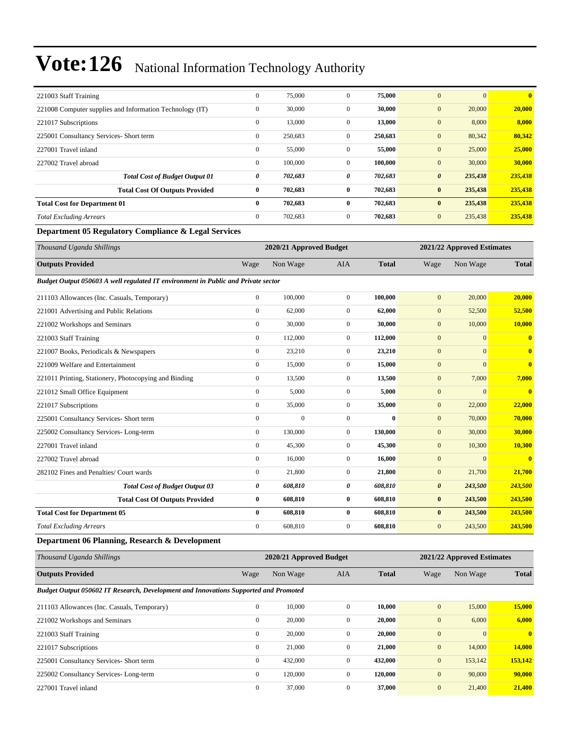| 221003 Staff Training                                    | $\mathbf{0}$ | 75,000  | $\mathbf{0}$   | 75,000  | $\Omega$<br>$\boldsymbol{0}$     | $\mathbf{0}$ |
|----------------------------------------------------------|--------------|---------|----------------|---------|----------------------------------|--------------|
| 221008 Computer supplies and Information Technology (IT) | $\mathbf{0}$ | 30,000  | $\mathbf{0}$   | 30,000  | 20,000<br>$\mathbf{0}$           | 20,000       |
| 221017 Subscriptions                                     | $\mathbf{0}$ | 13,000  | $\mathbf{0}$   | 13,000  | 8,000<br>$\mathbf{0}$            | 8,000        |
| 225001 Consultancy Services- Short term                  | $\mathbf{0}$ | 250,683 | $\mathbf{0}$   | 250,683 | $\mathbf{0}$<br>80,342           | 80,342       |
| 227001 Travel inland                                     | $\mathbf{0}$ | 55,000  | $\overline{0}$ | 55,000  | $\boldsymbol{0}$<br>25,000       | 25,000       |
| 227002 Travel abroad                                     | $\mathbf{0}$ | 100,000 | $\mathbf{0}$   | 100,000 | 30,000<br>$\boldsymbol{0}$       | 30,000       |
| <b>Total Cost of Budget Output 01</b>                    | 0            | 702,683 | 0              | 702,683 | 235,438<br>$\boldsymbol{\theta}$ | 235,438      |
| <b>Total Cost Of Outputs Provided</b>                    | $\bf{0}$     | 702,683 | $\bf{0}$       | 702,683 | 235,438<br>$\bf{0}$              | 235,438      |
| <b>Total Cost for Department 01</b>                      | $\bf{0}$     | 702,683 | 0              | 702,683 | 235,438<br>$\bf{0}$              | 235,438      |
| <b>Total Excluding Arrears</b>                           | $\mathbf{0}$ | 702,683 | $\overline{0}$ | 702,683 | $\mathbf{0}$<br>235,438          | 235,438      |

#### **Department 05 Regulatory Compliance & Legal Services**

| Thousand Uganda Shillings                                                         |                | 2020/21 Approved Budget |                |              |                       | 2021/22 Approved Estimates |                         |  |  |
|-----------------------------------------------------------------------------------|----------------|-------------------------|----------------|--------------|-----------------------|----------------------------|-------------------------|--|--|
| <b>Outputs Provided</b>                                                           | Wage           | Non Wage                | <b>AIA</b>     | <b>Total</b> | Wage                  | Non Wage                   | <b>Total</b>            |  |  |
| Budget Output 050603 A well regulated IT environment in Public and Private sector |                |                         |                |              |                       |                            |                         |  |  |
| 211103 Allowances (Inc. Casuals, Temporary)                                       | $\overline{0}$ | 100,000                 | $\overline{0}$ | 100,000      | $\mathbf{0}$          | 20,000                     | 20,000                  |  |  |
| 221001 Advertising and Public Relations                                           | $\mathbf{0}$   | 62,000                  | $\overline{0}$ | 62,000       | $\mathbf{0}$          | 52,500                     | 52,500                  |  |  |
| 221002 Workshops and Seminars                                                     | $\mathbf{0}$   | 30,000                  | $\overline{0}$ | 30,000       | $\mathbf{0}$          | 10,000                     | 10,000                  |  |  |
| 221003 Staff Training                                                             | $\Omega$       | 112,000                 | $\overline{0}$ | 112,000      | $\boldsymbol{0}$      | $\overline{0}$             | $\overline{\mathbf{0}}$ |  |  |
| 221007 Books, Periodicals & Newspapers                                            | $\mathbf{0}$   | 23,210                  | $\overline{0}$ | 23,210       | $\mathbf{0}$          | $\mathbf{0}$               | $\bf{0}$                |  |  |
| 221009 Welfare and Entertainment                                                  | $\mathbf{0}$   | 15,000                  | $\overline{0}$ | 15,000       | $\mathbf{0}$          | $\mathbf{0}$               | $\overline{\mathbf{0}}$ |  |  |
| 221011 Printing, Stationery, Photocopying and Binding                             | $\mathbf{0}$   | 13,500                  | $\overline{0}$ | 13,500       | $\mathbf{0}$          | 7,000                      | 7,000                   |  |  |
| 221012 Small Office Equipment                                                     | $\mathbf{0}$   | 5,000                   | $\overline{0}$ | 5,000        | $\mathbf{0}$          | $\mathbf{0}$               | $\bf{0}$                |  |  |
| 221017 Subscriptions                                                              | $\mathbf{0}$   | 35,000                  | $\overline{0}$ | 35,000       | $\mathbf{0}$          | 22,000                     | 22,000                  |  |  |
| 225001 Consultancy Services- Short term                                           | $\mathbf{0}$   | $\mathbf{0}$            | $\overline{0}$ | $\bf{0}$     | $\mathbf{0}$          | 70,000                     | 70,000                  |  |  |
| 225002 Consultancy Services-Long-term                                             | $\mathbf{0}$   | 130,000                 | $\overline{0}$ | 130,000      | $\mathbf{0}$          | 30,000                     | 30,000                  |  |  |
| 227001 Travel inland                                                              | $\Omega$       | 45,300                  | $\Omega$       | 45,300       | $\overline{0}$        | 10,300                     | 10,300                  |  |  |
| 227002 Travel abroad                                                              | $\mathbf{0}$   | 16,000                  | $\overline{0}$ | 16,000       | $\mathbf{0}$          | $\mathbf{0}$               | $\bf{0}$                |  |  |
| 282102 Fines and Penalties/ Court wards                                           | $\mathbf{0}$   | 21,800                  | $\overline{0}$ | 21,800       | $\mathbf{0}$          | 21,700                     | 21,700                  |  |  |
| <b>Total Cost of Budget Output 03</b>                                             | 0              | 608,810                 | 0              | 608,810      | $\boldsymbol{\theta}$ | 243,500                    | 243,500                 |  |  |
| <b>Total Cost Of Outputs Provided</b>                                             | $\bf{0}$       | 608,810                 | $\bf{0}$       | 608,810      | $\bf{0}$              | 243,500                    | 243,500                 |  |  |
| <b>Total Cost for Department 05</b>                                               | $\bf{0}$       | 608,810                 | $\bf{0}$       | 608,810      | $\bf{0}$              | 243,500                    | 243,500                 |  |  |
| <b>Total Excluding Arrears</b>                                                    | $\mathbf{0}$   | 608,810                 | $\overline{0}$ | 608,810      | $\mathbf{0}$          | 243,500                    | 243,500                 |  |  |
| Department 06 Planning, Research & Development                                    |                |                         |                |              |                       |                            |                         |  |  |

| Thousand Uganda Shillings                                                            |              | 2020/21 Approved Budget | 2021/22 Approved Estimates |              |              |          |              |
|--------------------------------------------------------------------------------------|--------------|-------------------------|----------------------------|--------------|--------------|----------|--------------|
| <b>Outputs Provided</b>                                                              | Wage         | Non Wage                | AIA                        | <b>Total</b> | Wage         | Non Wage | <b>Total</b> |
| Budget Output 050602 IT Research, Development and Innovations Supported and Promoted |              |                         |                            |              |              |          |              |
| 211103 Allowances (Inc. Casuals, Temporary)                                          | $\mathbf{0}$ | 10,000                  | $\overline{0}$             | 10,000       | $\mathbf{0}$ | 15,000   | 15,000       |
| 221002 Workshops and Seminars                                                        | $\mathbf{0}$ | 20,000                  | $\mathbf{0}$               | 20,000       | $\mathbf{0}$ | 6,000    | 6,000        |
| 221003 Staff Training                                                                | $\mathbf{0}$ | 20,000                  | $\mathbf{0}$               | 20,000       | $\mathbf{0}$ | $\Omega$ | $\mathbf{0}$ |
| 221017 Subscriptions                                                                 | $\mathbf{0}$ | 21,000                  | $\mathbf{0}$               | 21,000       | $\mathbf{0}$ | 14,000   | 14,000       |
| 225001 Consultancy Services- Short term                                              | $\mathbf{0}$ | 432,000                 | $\mathbf{0}$               | 432,000      | $\mathbf{0}$ | 153,142  | 153,142      |
| 225002 Consultancy Services-Long-term                                                | $\mathbf{0}$ | 120,000                 | $\mathbf{0}$               | 120.000      | $\mathbf{0}$ | 90,000   | 90,000       |
| 227001 Travel inland                                                                 | $\mathbf{0}$ | 37,000                  | $\mathbf{0}$               | 37,000       | $\mathbf{0}$ | 21,400   | 21,400       |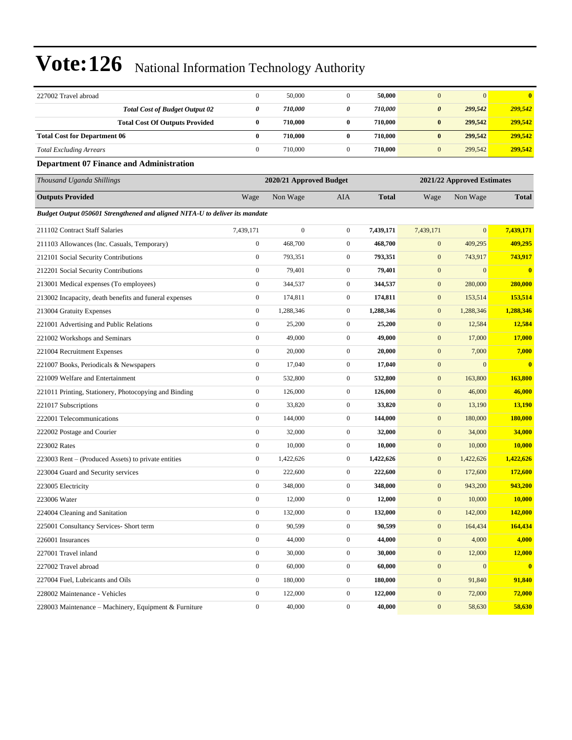| 227002 Travel abroad                                                        | $\boldsymbol{0}$        | 50,000           | $\boldsymbol{0}$ | 50,000                     | $\boldsymbol{0}$ | $\mathbf{0}$     | $\bf{0}$     |
|-----------------------------------------------------------------------------|-------------------------|------------------|------------------|----------------------------|------------------|------------------|--------------|
| <b>Total Cost of Budget Output 02</b>                                       | $\pmb{\theta}$          | 710,000          | 0                | 710,000                    | $\pmb{\theta}$   | 299,542          | 299,542      |
| <b>Total Cost Of Outputs Provided</b>                                       | $\bf{0}$                | 710,000          | $\bf{0}$         | 710,000                    | $\bf{0}$         | 299,542          | 299,542      |
| <b>Total Cost for Department 06</b>                                         | $\bf{0}$                | 710,000          | $\bf{0}$         | 710,000                    | $\pmb{0}$        | 299,542          | 299,542      |
| <b>Total Excluding Arrears</b>                                              | $\boldsymbol{0}$        | 710,000          | $\boldsymbol{0}$ | 710,000                    | $\mathbf{0}$     | 299,542          | 299,542      |
| <b>Department 07 Finance and Administration</b>                             |                         |                  |                  |                            |                  |                  |              |
| Thousand Uganda Shillings                                                   | 2020/21 Approved Budget |                  |                  | 2021/22 Approved Estimates |                  |                  |              |
| <b>Outputs Provided</b>                                                     | Wage                    | Non Wage         | AIA              | Total                      | Wage             | Non Wage         | <b>Total</b> |
| Budget Output 050601 Strengthened and aligned NITA-U to deliver its mandate |                         |                  |                  |                            |                  |                  |              |
| 211102 Contract Staff Salaries                                              | 7,439,171               | $\boldsymbol{0}$ | $\boldsymbol{0}$ | 7,439,171                  | 7,439,171        | $\mathbf{0}$     | 7,439,171    |
| 211103 Allowances (Inc. Casuals, Temporary)                                 | $\boldsymbol{0}$        | 468,700          | $\mathbf{0}$     | 468,700                    | $\boldsymbol{0}$ | 409,295          | 409,295      |
| 212101 Social Security Contributions                                        | $\boldsymbol{0}$        | 793,351          | $\boldsymbol{0}$ | 793,351                    | $\mathbf{0}$     | 743,917          | 743,917      |
| 212201 Social Security Contributions                                        | $\boldsymbol{0}$        | 79,401           | $\boldsymbol{0}$ | 79,401                     | $\boldsymbol{0}$ | $\mathbf{0}$     | $\bf{0}$     |
| 213001 Medical expenses (To employees)                                      | $\boldsymbol{0}$        | 344,537          | $\boldsymbol{0}$ | 344,537                    | $\boldsymbol{0}$ | 280,000          | 280,000      |
| 213002 Incapacity, death benefits and funeral expenses                      | $\boldsymbol{0}$        | 174,811          | $\boldsymbol{0}$ | 174,811                    | $\boldsymbol{0}$ | 153,514          | 153,514      |
| 213004 Gratuity Expenses                                                    | $\boldsymbol{0}$        | 1,288,346        | $\mathbf{0}$     | 1,288,346                  | $\boldsymbol{0}$ | 1,288,346        | 1,288,346    |
| 221001 Advertising and Public Relations                                     | $\boldsymbol{0}$        | 25,200           | $\boldsymbol{0}$ | 25,200                     | $\boldsymbol{0}$ | 12,584           | 12,584       |
| 221002 Workshops and Seminars                                               | $\boldsymbol{0}$        | 49,000           | $\boldsymbol{0}$ | 49,000                     | $\boldsymbol{0}$ | 17,000           | 17,000       |
| 221004 Recruitment Expenses                                                 | $\boldsymbol{0}$        | 20,000           | $\boldsymbol{0}$ | 20,000                     | $\mathbf{0}$     | 7,000            | 7,000        |
| 221007 Books, Periodicals & Newspapers                                      | $\boldsymbol{0}$        | 17,040           | $\boldsymbol{0}$ | 17,040                     | $\mathbf{0}$     | $\mathbf{0}$     | $\bf{0}$     |
| 221009 Welfare and Entertainment                                            | $\boldsymbol{0}$        | 532,800          | $\mathbf{0}$     | 532,800                    | $\boldsymbol{0}$ | 163,800          | 163,800      |
| 221011 Printing, Stationery, Photocopying and Binding                       | $\boldsymbol{0}$        | 126,000          | $\boldsymbol{0}$ | 126,000                    | $\boldsymbol{0}$ | 46,000           | 46,000       |
| 221017 Subscriptions                                                        | $\boldsymbol{0}$        | 33,820           | $\boldsymbol{0}$ | 33,820                     | $\boldsymbol{0}$ | 13,190           | 13,190       |
| 222001 Telecommunications                                                   | $\boldsymbol{0}$        | 144,000          | $\boldsymbol{0}$ | 144,000                    | $\mathbf{0}$     | 180,000          | 180,000      |
| 222002 Postage and Courier                                                  | $\boldsymbol{0}$        | 32,000           | $\boldsymbol{0}$ | 32,000                     | $\mathbf{0}$     | 34,000           | 34,000       |
| 223002 Rates                                                                | $\boldsymbol{0}$        | 10,000           | $\boldsymbol{0}$ | 10,000                     | $\boldsymbol{0}$ | 10,000           | 10,000       |
| 223003 Rent – (Produced Assets) to private entities                         | $\boldsymbol{0}$        | 1,422,626        | $\boldsymbol{0}$ | 1,422,626                  | $\boldsymbol{0}$ | 1,422,626        | 1,422,626    |
| 223004 Guard and Security services                                          | $\boldsymbol{0}$        | 222,600          | $\boldsymbol{0}$ | 222,600                    | $\boldsymbol{0}$ | 172,600          | 172,600      |
| 223005 Electricity                                                          | $\boldsymbol{0}$        | 348,000          | $\mathbf{0}$     | 348,000                    | $\mathbf{0}$     | 943,200          | 943,200      |
| 223006 Water                                                                | $\boldsymbol{0}$        | 12,000           | $\mathbf{0}$     | 12,000                     | $\mathbf{0}$     | 10,000           | 10,000       |
| 224004 Cleaning and Sanitation                                              | $\boldsymbol{0}$        | 132,000          | $\boldsymbol{0}$ | 132,000                    | $\boldsymbol{0}$ | 142,000          | 142,000      |
| 225001 Consultancy Services- Short term                                     | $\boldsymbol{0}$        | 90,599           | $\boldsymbol{0}$ | 90,599                     | $\boldsymbol{0}$ | 164,434          | 164,434      |
| 226001 Insurances                                                           | $\boldsymbol{0}$        | 44,000           | $\boldsymbol{0}$ | 44,000                     | $\boldsymbol{0}$ | 4,000            | 4,000        |
| 227001 Travel inland                                                        | $\boldsymbol{0}$        | 30,000           | $\boldsymbol{0}$ | 30,000                     | $\boldsymbol{0}$ | 12,000           | 12,000       |
| 227002 Travel abroad                                                        | $\boldsymbol{0}$        | 60,000           | $\boldsymbol{0}$ | 60,000                     | $\boldsymbol{0}$ | $\boldsymbol{0}$ | $\mathbf{0}$ |
| 227004 Fuel, Lubricants and Oils                                            | $\boldsymbol{0}$        | 180,000          | $\boldsymbol{0}$ | 180,000                    | $\boldsymbol{0}$ | 91,840           | 91,840       |
| 228002 Maintenance - Vehicles                                               | $\boldsymbol{0}$        | 122,000          | $\boldsymbol{0}$ | 122,000                    | $\boldsymbol{0}$ | 72,000           | 72,000       |
| 228003 Maintenance – Machinery, Equipment & Furniture                       | $\boldsymbol{0}$        | 40,000           | $\overline{0}$   | 40,000                     | $\boldsymbol{0}$ | 58,630           | 58,630       |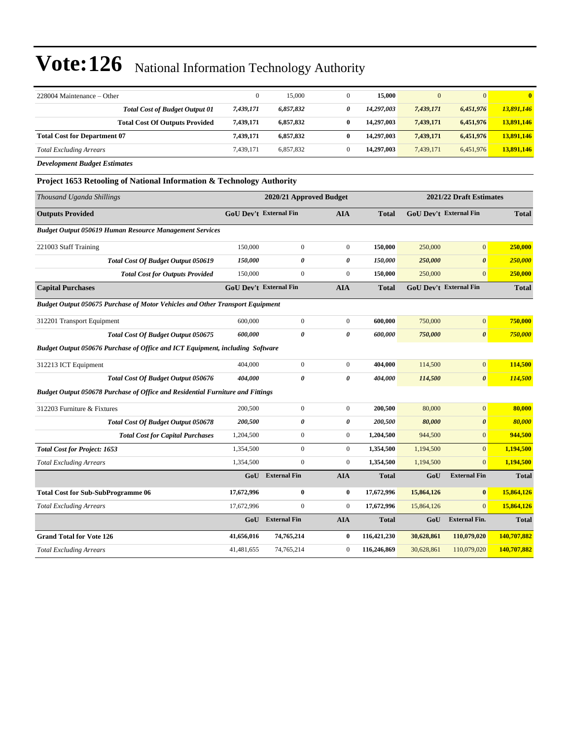| 228004 Maintenance - Other                                                           | $\boldsymbol{0}$              | 15,000                        | $\mathbf{0}$            | 15,000       | $\mathbf{0}$ | $\overline{0}$                | $\overline{\mathbf{0}}$ |
|--------------------------------------------------------------------------------------|-------------------------------|-------------------------------|-------------------------|--------------|--------------|-------------------------------|-------------------------|
| <b>Total Cost of Budget Output 01</b>                                                | 7,439,171                     | 6,857,832                     | 0                       | 14,297,003   | 7,439,171    | 6,451,976                     | 13,891,146              |
| <b>Total Cost Of Outputs Provided</b>                                                | 7,439,171                     | 6,857,832                     | $\bf{0}$                | 14,297,003   | 7,439,171    | 6,451,976                     | 13,891,146              |
| <b>Total Cost for Department 07</b>                                                  | 7,439,171                     | 6,857,832                     | $\bf{0}$                | 14,297,003   | 7,439,171    | 6,451,976                     | 13,891,146              |
| <b>Total Excluding Arrears</b>                                                       | 7,439,171                     | 6,857,832                     | $\boldsymbol{0}$        | 14,297,003   | 7,439,171    | 6,451,976                     | 13,891,146              |
| <b>Development Budget Estimates</b>                                                  |                               |                               |                         |              |              |                               |                         |
| <b>Project 1653 Retooling of National Information &amp; Technology Authority</b>     |                               |                               |                         |              |              |                               |                         |
| Thousand Uganda Shillings                                                            | 2020/21 Approved Budget       |                               | 2021/22 Draft Estimates |              |              |                               |                         |
| <b>Outputs Provided</b>                                                              |                               | <b>GoU Dev't External Fin</b> | <b>AIA</b>              | <b>Total</b> |              | <b>GoU Dev't External Fin</b> | <b>Total</b>            |
| <b>Budget Output 050619 Human Resource Management Services</b>                       |                               |                               |                         |              |              |                               |                         |
| 221003 Staff Training                                                                | 150,000                       | $\mathbf{0}$                  | $\mathbf{0}$            | 150,000      | 250,000      | $\overline{0}$                | 250,000                 |
| Total Cost Of Budget Output 050619                                                   | 150,000                       | $\pmb{\theta}$                | 0                       | 150,000      | 250,000      | $\boldsymbol{\theta}$         | 250,000                 |
| <b>Total Cost for Outputs Provided</b>                                               | 150,000                       | $\boldsymbol{0}$              | $\boldsymbol{0}$        | 150,000      | 250,000      | $\mathbf{0}$                  | 250,000                 |
| <b>Capital Purchases</b>                                                             | <b>GoU Dev't External Fin</b> |                               | <b>AIA</b>              | <b>Total</b> |              | GoU Dev't External Fin        | <b>Total</b>            |
| <b>Budget Output 050675 Purchase of Motor Vehicles and Other Transport Equipment</b> |                               |                               |                         |              |              |                               |                         |
| 312201 Transport Equipment                                                           | 600,000                       | $\boldsymbol{0}$              | $\boldsymbol{0}$        | 600,000      | 750,000      | $\boldsymbol{0}$              | 750,000                 |
| <b>Total Cost Of Budget Output 050675</b>                                            | 600,000                       | $\theta$                      | $\theta$                | 600,000      | 750,000      | $\boldsymbol{\theta}$         | 750,000                 |
| Budget Output 050676 Purchase of Office and ICT Equipment, including Software        |                               |                               |                         |              |              |                               |                         |
| 312213 ICT Equipment                                                                 | 404,000                       | $\boldsymbol{0}$              | $\mathbf{0}$            | 404,000      | 114,500      | $\boldsymbol{0}$              | 114,500                 |
| <b>Total Cost Of Budget Output 050676</b>                                            | 404,000                       | $\pmb{\theta}$                | 0                       | 404,000      | 114,500      | $\boldsymbol{\theta}$         | 114,500                 |
| Budget Output 050678 Purchase of Office and Residential Furniture and Fittings       |                               |                               |                         |              |              |                               |                         |
| 312203 Furniture & Fixtures                                                          | 200,500                       | $\boldsymbol{0}$              | $\boldsymbol{0}$        | 200,500      | 80,000       | $\boldsymbol{0}$              | 80,000                  |
| Total Cost Of Budget Output 050678                                                   | 200,500                       | 0                             | $\boldsymbol{\theta}$   | 200,500      | 80,000       | $\pmb{\theta}$                | 80,000                  |
| <b>Total Cost for Capital Purchases</b>                                              | 1,204,500                     | $\overline{0}$                | $\overline{0}$          | 1,204,500    | 944,500      | $\mathbf{0}$                  | 944,500                 |
| <b>Total Cost for Project: 1653</b>                                                  | 1,354,500                     | $\mathbf{0}$                  | $\overline{0}$          | 1,354,500    | 1,194,500    | $\overline{0}$                | 1,194,500               |
| <b>Total Excluding Arrears</b>                                                       | 1,354,500                     | $\boldsymbol{0}$              | $\boldsymbol{0}$        | 1,354,500    | 1,194,500    | $\mathbf{0}$                  | 1,194,500               |
|                                                                                      | GoU                           | <b>External Fin</b>           | <b>AIA</b>              | <b>Total</b> | GoU          | <b>External Fin</b>           | <b>Total</b>            |
| <b>Total Cost for Sub-SubProgramme 06</b>                                            | 17,672,996                    | $\bf{0}$                      | $\bf{0}$                | 17,672,996   | 15,864,126   | $\bf{0}$                      | 15,864,126              |
| <b>Total Excluding Arrears</b>                                                       | 17,672,996                    | $\Omega$                      | $\boldsymbol{0}$        | 17,672,996   | 15,864,126   | $\mathbf{0}$                  | 15,864,126              |
|                                                                                      | GoU                           | <b>External Fin</b>           | <b>AIA</b>              | <b>Total</b> | GoU          | <b>External Fin.</b>          | <b>Total</b>            |
| <b>Grand Total for Vote 126</b>                                                      | 41,656,016                    | 74,765,214                    | $\bf{0}$                | 116,421,230  | 30,628,861   | 110,079,020                   | 140,707,882             |
| <b>Total Excluding Arrears</b>                                                       | 41,481,655                    | 74,765,214                    | $\mathbf{0}$            | 116,246,869  | 30,628,861   | 110,079,020                   | 140,707,882             |